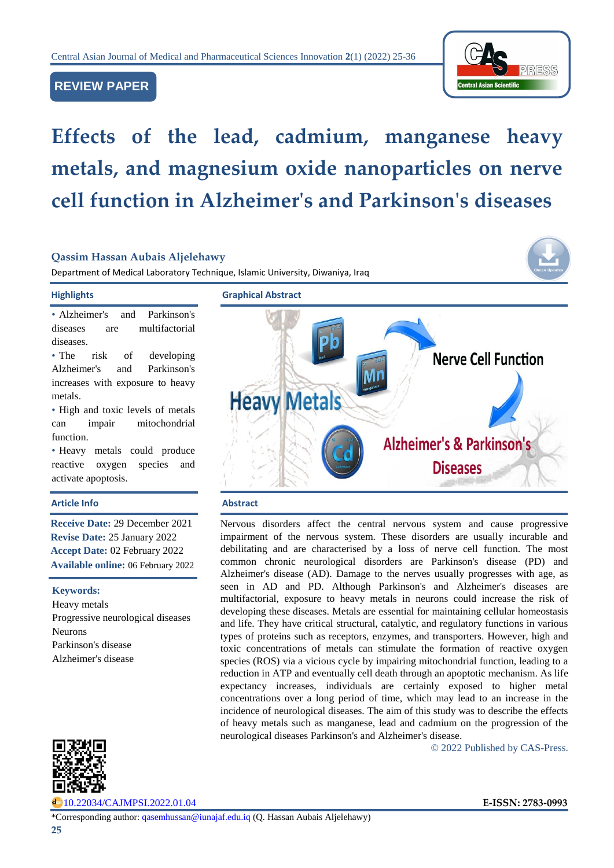

# **REVIEW PAPER**

# **Effects of the lead, cadmium, manganese heavy metals, and magnesium oxide nanoparticles on nerve cell function in Alzheimer's and Parkinson's diseases**

# **Qassim Hassan Aubais Aljelehawy**

Department of Medical Laboratory Technique, Islamic University, Diwaniya, Iraq



• Alzheimer's and Parkinson's diseases are multifactorial diseases.

• The risk of developing Alzheimer's and Parkinson's increases with exposure to heavy metals.

• High and toxic levels of metals can impair mitochondrial function.

• Heavy metals could produce reactive oxygen species and activate apoptosis.

# **Article Info Abstract**

**Receive Date:** 29 December 2021 **Revise Date:** 25 January 2022 **Accept Date:** 02 February 2022 **Available online:** 06 February 2022

#### **Keywords:**

Heavy metals Progressive neurological diseases Neurons Parkinson's disease Alzheimer's disease



[10.22034/CAJMPSI.2022.01.04](https://www.cajmpsi.com/article_144439.html) **E-ISSN: 2783-0993**



Nervous disorders affect the central nervous system and cause progressive impairment of the nervous system. These disorders are usually incurable and debilitating and are characterised by a loss of nerve cell function. The most common chronic neurological disorders are Parkinson's disease (PD) and Alzheimer's disease (AD). Damage to the nerves usually progresses with age, as seen in AD and PD. Although Parkinson's and Alzheimer's diseases are multifactorial, exposure to heavy metals in neurons could increase the risk of developing these diseases. Metals are essential for maintaining cellular homeostasis and life. They have critical structural, catalytic, and regulatory functions in various types of proteins such as receptors, enzymes, and transporters. However, high and toxic concentrations of metals can stimulate the formation of reactive oxygen species (ROS) via a vicious cycle by impairing mitochondrial function, leading to a reduction in ATP and eventually cell death through an apoptotic mechanism. As life expectancy increases, individuals are certainly exposed to higher metal concentrations over a long period of time, which may lead to an increase in the incidence of neurological diseases. The aim of this study was to describe the effects of heavy metals such as manganese, lead and cadmium on the progression of the neurological diseases Parkinson's and Alzheimer's disease.

© 2022 Published by CAS-Press.

\*Corresponding author: [qasemhussan@iunajaf.edu.iq](mailto:qasemhussan@iunajaf.edu.iq) (Q. Hassan Aubais Aljelehawy)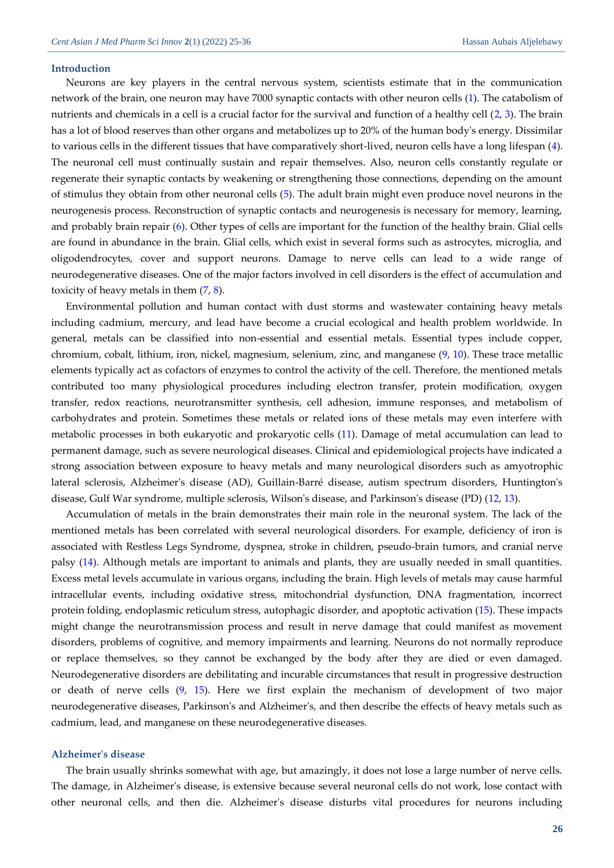#### **Introduction**

Neurons are key players in the central nervous system, scientists estimate that in the communication network of the brain, one neuron may have 7000 synaptic contacts with other neuron cells [\(1\)](#page-7-0). The catabolism of nutrients and chemicals in a cell is a crucial factor for the survival and function of a healthy cell [\(2,](#page-7-1) [3\)](#page-7-2). The brain has a lot of blood reserves than other organs and metabolizes up to 20% of the human body's energy. Dissimilar to various cells in the different tissues that have comparatively short-lived, neuron cells have a long lifespan [\(4\)](#page-8-0). The neuronal cell must continually sustain and repair themselves. Also, neuron cells constantly regulate or regenerate their synaptic contacts by weakening or strengthening those connections, depending on the amount of stimulus they obtain from other neuronal cells [\(5\)](#page-8-1). The adult brain might even produce novel neurons in the neurogenesis process. Reconstruction of synaptic contacts and neurogenesis is necessary for memory, learning, and probably brain repair [\(6\)](#page-8-2). Other types of cells are important for the function of the healthy brain. Glial cells are found in abundance in the brain. Glial cells, which exist in several forms such as astrocytes, microglia, and oligodendrocytes, cover and support neurons. Damage to nerve cells can lead to a wide range of neurodegenerative diseases. One of the major factors involved in cell disorders is the effect of accumulation and toxicity of heavy metals in them [\(7,](#page-8-3) [8\)](#page-8-4).

Environmental pollution and human contact with dust storms and wastewater containing heavy metals including cadmium, mercury, and lead have become a crucial ecological and health problem worldwide. In general, metals can be classified into non-essential and essential metals. Essential types include copper, chromium, cobalt, lithium, iron, nickel, magnesium, selenium, zinc, and manganese [\(9,](#page-8-5) [10\)](#page-8-6). These trace metallic elements typically act as cofactors of enzymes to control the activity of the cell. Therefore, the mentioned metals contributed too many physiological procedures including electron transfer, protein modification, oxygen transfer, redox reactions, neurotransmitter synthesis, cell adhesion, immune responses, and metabolism of carbohydrates and protein. Sometimes these metals or related ions of these metals may even interfere with metabolic processes in both eukaryotic and prokaryotic cells [\(11\)](#page-8-7). Damage of metal accumulation can lead to permanent damage, such as severe neurological diseases. Clinical and epidemiological projects have indicated a strong association between exposure to heavy metals and many neurological disorders such as amyotrophic lateral sclerosis, Alzheimer's disease (AD), Guillain-Barré disease, autism spectrum disorders, Huntington's disease, Gulf War syndrome, multiple sclerosis, Wilson's disease, and Parkinson's disease (PD) [\(12,](#page-8-8) [13\)](#page-8-9).

Accumulation of metals in the brain demonstrates their main role in the neuronal system. The lack of the mentioned metals has been correlated with several neurological disorders. For example, deficiency of iron is associated with Restless Legs Syndrome, dyspnea, stroke in children, pseudo-brain tumors, and cranial nerve palsy [\(14\)](#page-8-10). Although metals are important to animals and plants, they are usually needed in small quantities. Excess metal levels accumulate in various organs, including the brain. High levels of metals may cause harmful intracellular events, including oxidative stress, mitochondrial dysfunction, DNA fragmentation, incorrect protein folding, endoplasmic reticulum stress, autophagic disorder, and apoptotic activation [\(15\)](#page-8-11). These impacts might change the neurotransmission process and result in nerve damage that could manifest as movement disorders, problems of cognitive, and memory impairments and learning. Neurons do not normally reproduce or replace themselves, so they cannot be exchanged by the body after they are died or even damaged. Neurodegenerative disorders are debilitating and incurable circumstances that result in progressive destruction or death of nerve cells [\(9,](#page-8-5) [15\)](#page-8-11). Here we first explain the mechanism of development of two major neurodegenerative diseases, Parkinson's and Alzheimer's, and then describe the effects of heavy metals such as cadmium, lead, and manganese on these neurodegenerative diseases.

#### **Alzheimer's disease**

The brain usually shrinks somewhat with age, but amazingly, it does not lose a large number of nerve cells. The damage, in Alzheimer's disease, is extensive because several neuronal cells do not work, lose contact with other neuronal cells, and then die. Alzheimer's disease disturbs vital procedures for neurons including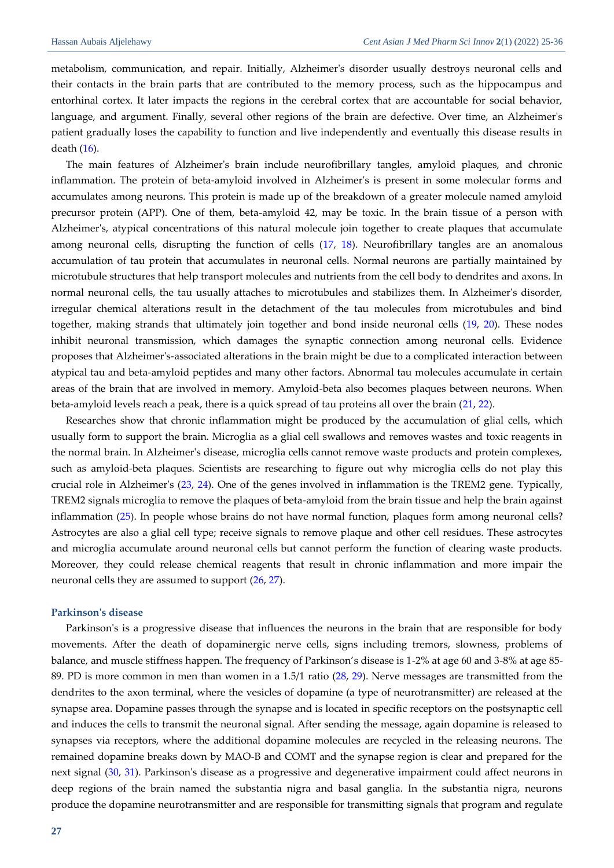metabolism, communication, and repair. Initially, Alzheimer's disorder usually destroys neuronal cells and their contacts in the brain parts that are contributed to the memory process, such as the hippocampus and entorhinal cortex. It later impacts the regions in the cerebral cortex that are accountable for social behavior, language, and argument. Finally, several other regions of the brain are defective. Over time, an Alzheimer's patient gradually loses the capability to function and live independently and eventually this disease results in death [\(16\)](#page-8-12).

The main features of Alzheimer's brain include neurofibrillary tangles, amyloid plaques, and chronic inflammation. The protein of beta-amyloid involved in Alzheimer's is present in some molecular forms and accumulates among neurons. This protein is made up of the breakdown of a greater molecule named amyloid precursor protein (APP). One of them, beta-amyloid 42, may be toxic. In the brain tissue of a person with Alzheimer's, atypical concentrations of this natural molecule join together to create plaques that accumulate among neuronal cells, disrupting the function of cells [\(17,](#page-8-13) [18\)](#page-8-14). Neurofibrillary tangles are an anomalous accumulation of tau protein that accumulates in neuronal cells. Normal neurons are partially maintained by microtubule structures that help transport molecules and nutrients from the cell body to dendrites and axons. In normal neuronal cells, the tau usually attaches to microtubules and stabilizes them. In Alzheimer's disorder, irregular chemical alterations result in the detachment of the tau molecules from microtubules and bind together, making strands that ultimately join together and bond inside neuronal cells [\(19,](#page-8-15) [20\)](#page-8-16). These nodes inhibit neuronal transmission, which damages the synaptic connection among neuronal cells. Evidence proposes that Alzheimer's-associated alterations in the brain might be due to a complicated interaction between atypical tau and beta-amyloid peptides and many other factors. Abnormal tau molecules accumulate in certain areas of the brain that are involved in memory. Amyloid-beta also becomes plaques between neurons. When beta-amyloid levels reach a peak, there is a quick spread of tau proteins all over the brain [\(21,](#page-8-17) [22\)](#page-8-18).

Researches show that chronic inflammation might be produced by the accumulation of glial cells, which usually form to support the brain. Microglia as a glial cell swallows and removes wastes and toxic reagents in the normal brain. In Alzheimer's disease, microglia cells cannot remove waste products and protein complexes, such as amyloid-beta plaques. Scientists are researching to figure out why microglia cells do not play this crucial role in Alzheimer's (23, [24\)](#page-9-0). One of the genes involved in inflammation is the TREM2 gene. Typically, TREM2 signals microglia to remove the plaques of beta-amyloid from the brain tissue and help the brain against inflammation [\(25\)](#page-9-1). In people whose brains do not have normal function, plaques form among neuronal cells? Astrocytes are also a glial cell type; receive signals to remove plaque and other cell residues. These astrocytes and microglia accumulate around neuronal cells but cannot perform the function of clearing waste products. Moreover, they could release chemical reagents that result in chronic inflammation and more impair the neuronal cells they are assumed to support [\(26,](#page-9-2) [27\)](#page-9-3).

#### **Parkinson's disease**

Parkinson's is a progressive disease that influences the neurons in the brain that are responsible for body movements. After the death of dopaminergic nerve cells, signs including tremors, slowness, problems of balance, and muscle stiffness happen. The frequency of Parkinson's disease is 1-2% at age 60 and 3-8% at age 85- 89. PD is more common in men than women in a 1.5/1 ratio [\(28,](#page-9-4) [29\)](#page-9-5). Nerve messages are transmitted from the dendrites to the axon terminal, where the vesicles of dopamine (a type of neurotransmitter) are released at the synapse area. Dopamine passes through the synapse and is located in specific receptors on the postsynaptic cell and induces the cells to transmit the neuronal signal. After sending the message, again dopamine is released to synapses via receptors, where the additional dopamine molecules are recycled in the releasing neurons. The remained dopamine breaks down by MAO-B and COMT and the synapse region is clear and prepared for the next signal [\(30,](#page-9-6) [31\)](#page-9-7). Parkinson's disease as a progressive and degenerative impairment could affect neurons in deep regions of the brain named the substantia nigra and basal ganglia. In the substantia nigra, neurons produce the dopamine neurotransmitter and are responsible for transmitting signals that program and regulate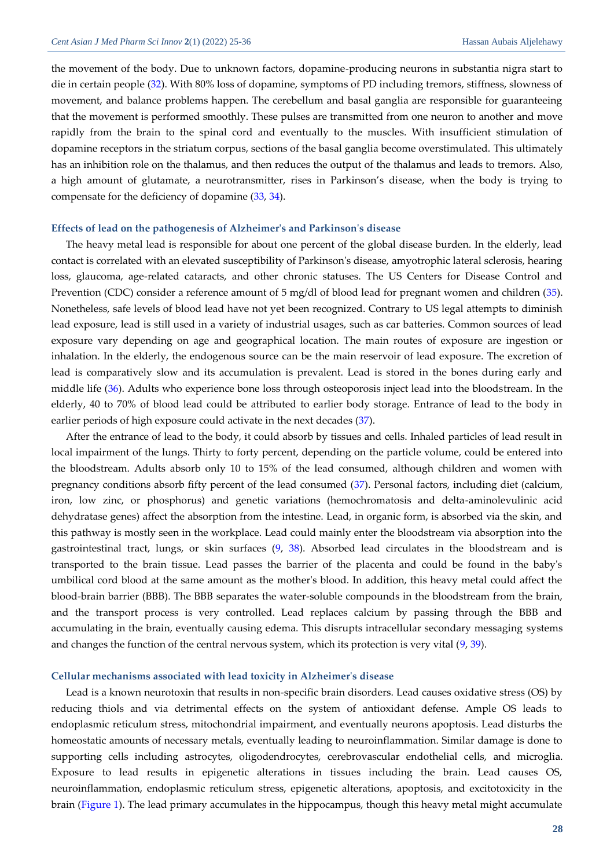the movement of the body. Due to unknown factors, dopamine-producing neurons in substantia nigra start to die in certain people [\(32\)](#page-9-8). With 80% loss of dopamine, symptoms of PD including tremors, stiffness, slowness of movement, and balance problems happen. The cerebellum and basal ganglia are responsible for guaranteeing that the movement is performed smoothly. These pulses are transmitted from one neuron to another and move rapidly from the brain to the spinal cord and eventually to the muscles. With insufficient stimulation of dopamine receptors in the striatum corpus, sections of the basal ganglia become overstimulated. This ultimately has an inhibition role on the thalamus, and then reduces the output of the thalamus and leads to tremors. Also, a high amount of glutamate, a neurotransmitter, rises in Parkinson's disease, when the body is trying to compensate for the deficiency of dopamine [\(33,](#page-9-9) [34\)](#page-9-10).

#### **Effects of lead on the pathogenesis of Alzheimer's and Parkinson's disease**

The heavy metal lead is responsible for about one percent of the global disease burden. In the elderly, lead contact is correlated with an elevated susceptibility of Parkinson's disease, amyotrophic lateral sclerosis, hearing loss, glaucoma, age-related cataracts, and other chronic statuses. The US Centers for Disease Control and Prevention (CDC) consider a reference amount of 5 mg/dl of blood lead for pregnant women and children [\(35\)](#page-9-11). Nonetheless, safe levels of blood lead have not yet been recognized. Contrary to US legal attempts to diminish lead exposure, lead is still used in a variety of industrial usages, such as car batteries. Common sources of lead exposure vary depending on age and geographical location. The main routes of exposure are ingestion or inhalation. In the elderly, the endogenous source can be the main reservoir of lead exposure. The excretion of lead is comparatively slow and its accumulation is prevalent. Lead is stored in the bones during early and middle life [\(36\)](#page-9-12). Adults who experience bone loss through osteoporosis inject lead into the bloodstream. In the elderly, 40 to 70% of blood lead could be attributed to earlier body storage. Entrance of lead to the body in earlier periods of high exposure could activate in the next decades [\(37\)](#page-9-13).

After the entrance of lead to the body, it could absorb by tissues and cells. Inhaled particles of lead result in local impairment of the lungs. Thirty to forty percent, depending on the particle volume, could be entered into the bloodstream. Adults absorb only 10 to 15% of the lead consumed, although children and women with pregnancy conditions absorb fifty percent of the lead consumed [\(37\)](#page-9-13). Personal factors, including diet (calcium, iron, low zinc, or phosphorus) and genetic variations (hemochromatosis and delta-aminolevulinic acid dehydratase genes) affect the absorption from the intestine. Lead, in organic form, is absorbed via the skin, and this pathway is mostly seen in the workplace. Lead could mainly enter the bloodstream via absorption into the gastrointestinal tract, lungs, or skin surfaces [\(9,](#page-8-5) [38\)](#page-9-14). Absorbed lead circulates in the bloodstream and is transported to the brain tissue. Lead passes the barrier of the placenta and could be found in the baby's umbilical cord blood at the same amount as the mother's blood. In addition, this heavy metal could affect the blood-brain barrier (BBB). The BBB separates the water-soluble compounds in the bloodstream from the brain, and the transport process is very controlled. Lead replaces calcium by passing through the BBB and accumulating in the brain, eventually causing edema. This disrupts intracellular secondary messaging systems and changes the function of the central nervous system, which its protection is very vital [\(9,](#page-8-5) [39\)](#page-9-15).

#### **Cellular mechanisms associated with lead toxicity in Alzheimer's disease**

Lead is a known neurotoxin that results in non-specific brain disorders. Lead causes oxidative stress (OS) by reducing thiols and via detrimental effects on the system of antioxidant defense. Ample OS leads to endoplasmic reticulum stress, mitochondrial impairment, and eventually neurons apoptosis. Lead disturbs the homeostatic amounts of necessary metals, eventually leading to neuroinflammation. Similar damage is done to supporting cells including astrocytes, oligodendrocytes, cerebrovascular endothelial cells, and microglia. Exposure to lead results in epigenetic alterations in tissues including the brain. Lead causes OS, neuroinflammation, endoplasmic reticulum stress, epigenetic alterations, apoptosis, and excitotoxicity in the brain [\(Figure 1\)](#page-4-0). The lead primary accumulates in the hippocampus, though this heavy metal might accumulate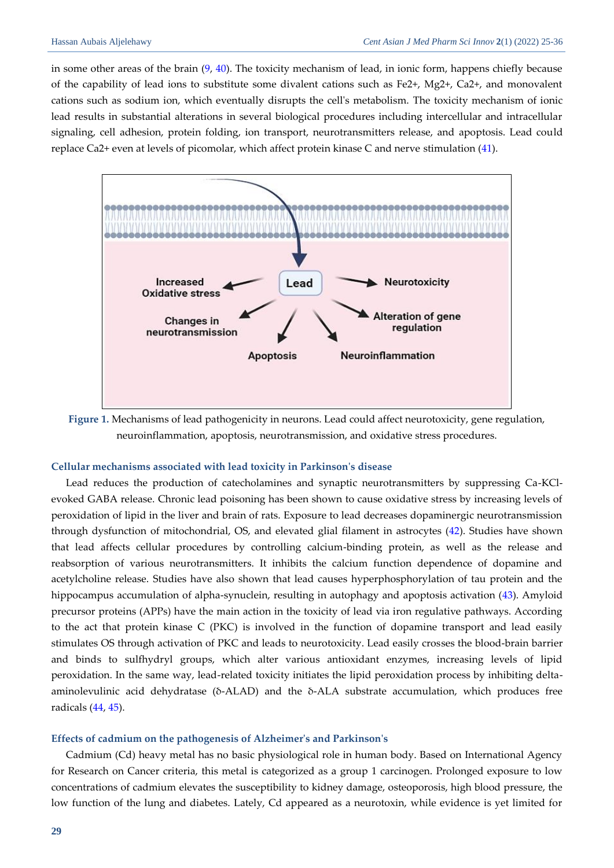in some other areas of the brain [\(9,](#page-8-5) [40\)](#page-9-16). The toxicity mechanism of lead, in ionic form, happens chiefly because of the capability of lead ions to substitute some divalent cations such as Fe2+, Mg2+, Ca2+, and monovalent cations such as sodium ion, which eventually disrupts the cell's metabolism. The toxicity mechanism of ionic lead results in substantial alterations in several biological procedures including intercellular and intracellular signaling, cell adhesion, protein folding, ion transport, neurotransmitters release, and apoptosis. Lead could replace Ca2+ even at levels of picomolar, which affect protein kinase C and nerve stimulation [\(41\)](#page-9-17).



<span id="page-4-0"></span>**Figure 1.** Mechanisms of lead pathogenicity in neurons. Lead could affect neurotoxicity, gene regulation, neuroinflammation, apoptosis, neurotransmission, and oxidative stress procedures.

#### **Cellular mechanisms associated with lead toxicity in Parkinson's disease**

Lead reduces the production of catecholamines and synaptic neurotransmitters by suppressing Ca-KClevoked GABA release. Chronic lead poisoning has been shown to cause oxidative stress by increasing levels of peroxidation of lipid in the liver and brain of rats. Exposure to lead decreases dopaminergic neurotransmission through dysfunction of mitochondrial, OS, and elevated glial filament in astrocytes [\(42\)](#page-9-18). Studies have shown that lead affects cellular procedures by controlling calcium-binding protein, as well as the release and reabsorption of various neurotransmitters. It inhibits the calcium function dependence of dopamine and acetylcholine release. Studies have also shown that lead causes hyperphosphorylation of tau protein and the hippocampus accumulation of alpha-synuclein, resulting in autophagy and apoptosis activation [\(43\)](#page-9-19). Amyloid precursor proteins (APPs) have the main action in the toxicity of lead via iron regulative pathways. According to the act that protein kinase C (PKC) is involved in the function of dopamine transport and lead easily stimulates OS through activation of PKC and leads to neurotoxicity. Lead easily crosses the blood-brain barrier and binds to sulfhydryl groups, which alter various antioxidant enzymes, increasing levels of lipid peroxidation. In the same way, lead-related toxicity initiates the lipid peroxidation process by inhibiting deltaaminolevulinic acid dehydratase (δ-ALAD) and the δ-ALA substrate accumulation, which produces free radicals [\(44,](#page-9-20) [45\)](#page-9-21).

#### **Effects of cadmium on the pathogenesis of Alzheimer's and Parkinson's**

Cadmium (Cd) heavy metal has no basic physiological role in human body. Based on International Agency for Research on Cancer criteria, this metal is categorized as a group 1 carcinogen. Prolonged exposure to low concentrations of cadmium elevates the susceptibility to kidney damage, osteoporosis, high blood pressure, the low function of the lung and diabetes. Lately, Cd appeared as a neurotoxin, while evidence is yet limited for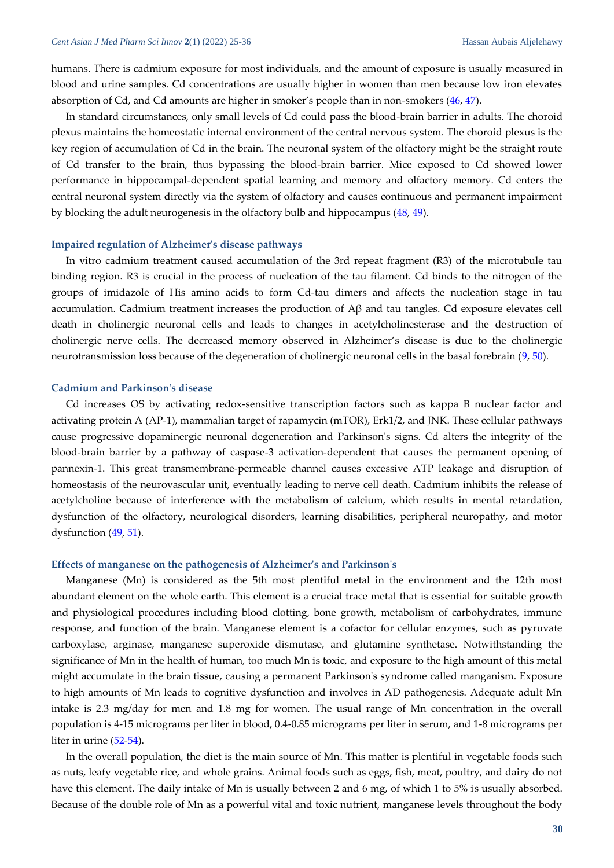humans. There is cadmium exposure for most individuals, and the amount of exposure is usually measured in blood and urine samples. Cd concentrations are usually higher in women than men because low iron elevates absorption of Cd, and Cd amounts are higher in smoker's people than in non-smokers [\(46,](#page-9-22) [47\)](#page-10-0).

In standard circumstances, only small levels of Cd could pass the blood-brain barrier in adults. The choroid plexus maintains the homeostatic internal environment of the central nervous system. The choroid plexus is the key region of accumulation of Cd in the brain. The neuronal system of the olfactory might be the straight route of Cd transfer to the brain, thus bypassing the blood-brain barrier. Mice exposed to Cd showed lower performance in hippocampal-dependent spatial learning and memory and olfactory memory. Cd enters the central neuronal system directly via the system of olfactory and causes continuous and permanent impairment by blocking the adult neurogenesis in the olfactory bulb and hippocampus [\(48,](#page-10-1) [49\)](#page-10-2).

#### **Impaired regulation of Alzheimer's disease pathways**

In vitro cadmium treatment caused accumulation of the 3rd repeat fragment (R3) of the microtubule tau binding region. R3 is crucial in the process of nucleation of the tau filament. Cd binds to the nitrogen of the groups of imidazole of His amino acids to form Cd-tau dimers and affects the nucleation stage in tau accumulation. Cadmium treatment increases the production of Aβ and tau tangles. Cd exposure elevates cell death in cholinergic neuronal cells and leads to changes in acetylcholinesterase and the destruction of cholinergic nerve cells. The decreased memory observed in Alzheimer's disease is due to the cholinergic neurotransmission loss because of the degeneration of cholinergic neuronal cells in the basal forebrain [\(9,](#page-8-5) [50\)](#page-10-3).

#### **Cadmium and Parkinson's disease**

Cd increases OS by activating redox-sensitive transcription factors such as kappa B nuclear factor and activating protein A (AP-1), mammalian target of rapamycin (mTOR), Erk1/2, and JNK. These cellular pathways cause progressive dopaminergic neuronal degeneration and Parkinson's signs. Cd alters the integrity of the blood-brain barrier by a pathway of caspase-3 activation-dependent that causes the permanent opening of pannexin-1. This great transmembrane-permeable channel causes excessive ATP leakage and disruption of homeostasis of the neurovascular unit, eventually leading to nerve cell death. Cadmium inhibits the release of acetylcholine because of interference with the metabolism of calcium, which results in mental retardation, dysfunction of the olfactory, neurological disorders, learning disabilities, peripheral neuropathy, and motor dysfunction [\(49,](#page-10-2) [51\)](#page-10-4).

#### **Effects of manganese on the pathogenesis of Alzheimer's and Parkinson's**

Manganese (Mn) is considered as the 5th most plentiful metal in the environment and the 12th most abundant element on the whole earth. This element is a crucial trace metal that is essential for suitable growth and physiological procedures including blood clotting, bone growth, metabolism of carbohydrates, immune response, and function of the brain. Manganese element is a cofactor for cellular enzymes, such as pyruvate carboxylase, arginase, manganese superoxide dismutase, and glutamine synthetase. Notwithstanding the significance of Mn in the health of human, too much Mn is toxic, and exposure to the high amount of this metal might accumulate in the brain tissue, causing a permanent Parkinson's syndrome called manganism. Exposure to high amounts of Mn leads to cognitive dysfunction and involves in AD pathogenesis. Adequate adult Mn intake is 2.3 mg/day for men and 1.8 mg for women. The usual range of Mn concentration in the overall population is 4-15 micrograms per liter in blood, 0.4-0.85 micrograms per liter in serum, and 1-8 micrograms per liter in urine [\(52-](#page-10-5)[54\)](#page-10-6).

In the overall population, the diet is the main source of Mn. This matter is plentiful in vegetable foods such as nuts, leafy vegetable rice, and whole grains. Animal foods such as eggs, fish, meat, poultry, and dairy do not have this element. The daily intake of Mn is usually between 2 and 6 mg, of which 1 to 5% is usually absorbed. Because of the double role of Mn as a powerful vital and toxic nutrient, manganese levels throughout the body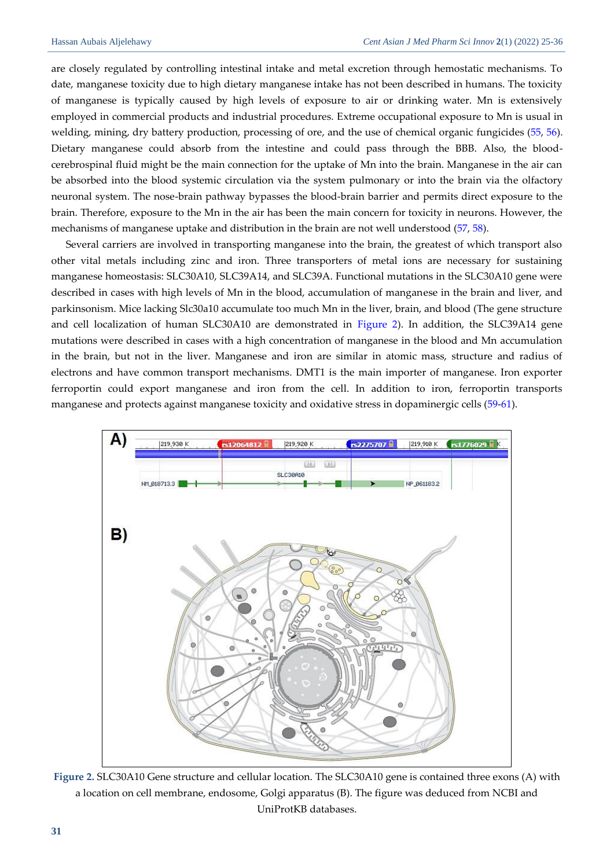are closely regulated by controlling intestinal intake and metal excretion through hemostatic mechanisms. To date, manganese toxicity due to high dietary manganese intake has not been described in humans. The toxicity of manganese is typically caused by high levels of exposure to air or drinking water. Mn is extensively employed in commercial products and industrial procedures. Extreme occupational exposure to Mn is usual in welding, mining, dry battery production, processing of ore, and the use of chemical organic fungicides [\(55,](#page-10-7) [56\)](#page-10-8). Dietary manganese could absorb from the intestine and could pass through the BBB. Also, the bloodcerebrospinal fluid might be the main connection for the uptake of Mn into the brain. Manganese in the air can be absorbed into the blood systemic circulation via the system pulmonary or into the brain via the olfactory neuronal system. The nose-brain pathway bypasses the blood-brain barrier and permits direct exposure to the brain. Therefore, exposure to the Mn in the air has been the main concern for toxicity in neurons. However, the mechanisms of manganese uptake and distribution in the brain are not well understood [\(57,](#page-10-9) [58\)](#page-10-10).

Several carriers are involved in transporting manganese into the brain, the greatest of which transport also other vital metals including zinc and iron. Three transporters of metal ions are necessary for sustaining manganese homeostasis: SLC30A10, SLC39A14, and SLC39A. Functional mutations in the SLC30A10 gene were described in cases with high levels of Mn in the blood, accumulation of manganese in the brain and liver, and parkinsonism. Mice lacking Slc30a10 accumulate too much Mn in the liver, brain, and blood (The gene structure and cell localization of human SLC30A10 are demonstrated in Figure 2). In addition, the SLC39A14 gene mutations were described in cases with a high concentration of manganese in the blood and Mn accumulation in the brain, but not in the liver. Manganese and iron are similar in atomic mass, structure and radius of electrons and have common transport mechanisms. DMT1 is the main importer of manganese. Iron exporter ferroportin could export manganese and iron from the cell. In addition to iron, ferroportin transports manganese and protects against manganese toxicity and oxidative stress in dopaminergic cells [\(59-](#page-10-11)[61\)](#page-10-12).



**Figure 2.** SLC30A10 Gene structure and cellular location. The SLC30A10 gene is contained three exons (A) with a location on cell membrane, endosome, Golgi apparatus (B). The figure was deduced from NCBI and UniProtKB databases.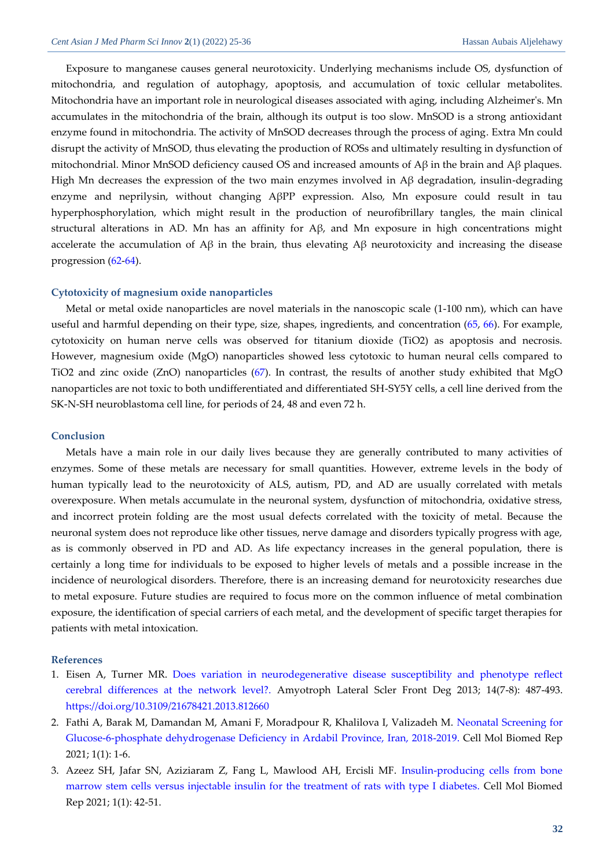Exposure to manganese causes general neurotoxicity. Underlying mechanisms include OS, dysfunction of mitochondria, and regulation of autophagy, apoptosis, and accumulation of toxic cellular metabolites. Mitochondria have an important role in neurological diseases associated with aging, including Alzheimer's. Mn accumulates in the mitochondria of the brain, although its output is too slow. MnSOD is a strong antioxidant enzyme found in mitochondria. The activity of MnSOD decreases through the process of aging. Extra Mn could disrupt the activity of MnSOD, thus elevating the production of ROSs and ultimately resulting in dysfunction of mitochondrial. Minor MnSOD deficiency caused OS and increased amounts of  $A\beta$  in the brain and  $A\beta$  plaques. High Mn decreases the expression of the two main enzymes involved in Aβ degradation, insulin-degrading enzyme and neprilysin, without changing AβPP expression. Also, Mn exposure could result in tau hyperphosphorylation, which might result in the production of neurofibrillary tangles, the main clinical structural alterations in AD. Mn has an affinity for Aβ, and Mn exposure in high concentrations might accelerate the accumulation of Aβ in the brain, thus elevating Aβ neurotoxicity and increasing the disease progression [\(62](#page-10-13)[-64\)](#page-10-14).

### **Cytotoxicity of magnesium oxide nanoparticles**

Metal or metal oxide nanoparticles are novel materials in the nanoscopic scale (1-100 nm), which can have useful and harmful depending on their type, size, shapes, ingredients, and concentration [\(65,](#page-10-15) 66). For example, cytotoxicity on human nerve cells was observed for titanium dioxide (TiO2) as apoptosis and necrosis. However, magnesium oxide (MgO) nanoparticles showed less cytotoxic to human neural cells compared to TiO2 and zinc oxide (ZnO) nanoparticles [\(67\)](#page-11-0). In contrast, the results of another study exhibited that MgO nanoparticles are not toxic to both undifferentiated and differentiated SH-SY5Y cells, a cell line derived from the SK-N-SH neuroblastoma cell line, for periods of 24, 48 and even 72 h.

#### **Conclusion**

Metals have a main role in our daily lives because they are generally contributed to many activities of enzymes. Some of these metals are necessary for small quantities. However, extreme levels in the body of human typically lead to the neurotoxicity of ALS, autism, PD, and AD are usually correlated with metals overexposure. When metals accumulate in the neuronal system, dysfunction of mitochondria, oxidative stress, and incorrect protein folding are the most usual defects correlated with the toxicity of metal. Because the neuronal system does not reproduce like other tissues, nerve damage and disorders typically progress with age, as is commonly observed in PD and AD. As life expectancy increases in the general population, there is certainly a long time for individuals to be exposed to higher levels of metals and a possible increase in the incidence of neurological disorders. Therefore, there is an increasing demand for neurotoxicity researches due to metal exposure. Future studies are required to focus more on the common influence of metal combination exposure, the identification of special carriers of each metal, and the development of specific target therapies for patients with metal intoxication.

# **References**

- <span id="page-7-0"></span>1. Eisen A, Turner MR. [Does variation in neurodegenerative disease susceptibility and phenotype reflect](https://freepaper.me/d/PDF/39/3976764fd0a60be27c50dbb61751cc6f.pdf?hash=iB16HoVDtJ89eVF7aZxBkQ&doi=10.3109/21678421.2013.812660&title=&save=1%20%20%20%20%20%20%20%20%20%20%20%20%20%20%20%20style=)  [cerebral differences at the network level?.](https://freepaper.me/d/PDF/39/3976764fd0a60be27c50dbb61751cc6f.pdf?hash=iB16HoVDtJ89eVF7aZxBkQ&doi=10.3109/21678421.2013.812660&title=&save=1%20%20%20%20%20%20%20%20%20%20%20%20%20%20%20%20style=) Amyotroph Lateral Scler Front Deg 2013; 14(7-8): 487-493. <https://doi.org/10.3109/21678421.2013.812660>
- <span id="page-7-1"></span>2. Fathi A, Barak M, Damandan M, Amani F, Moradpour R, Khalilova I, Valizadeh M. [Neonatal Screening for](https://www.cmbr-journal.com/article_138793_a3c8523b1fc8daeffdce4a29944a7fb5.pdf)  [Glucose-6-phosphate dehydrogenase Deficiency in Ardabil Province, Iran, 2018-2019.](https://www.cmbr-journal.com/article_138793_a3c8523b1fc8daeffdce4a29944a7fb5.pdf) Cell Mol Biomed Rep 2021; 1(1): 1-6.
- <span id="page-7-2"></span>3. Azeez SH, Jafar SN, Aziziaram Z, Fang L, Mawlood AH, Ercisli MF. [Insulin-producing cells from bone](https://www.cmbr-journal.com/article_138888_afc841ad1b39154654631311607d85f9.pdf)  [marrow stem cells versus injectable insulin for the treatment of rats with type I diabetes.](https://www.cmbr-journal.com/article_138888_afc841ad1b39154654631311607d85f9.pdf) Cell Mol Biomed Rep 2021; 1(1): 42-51.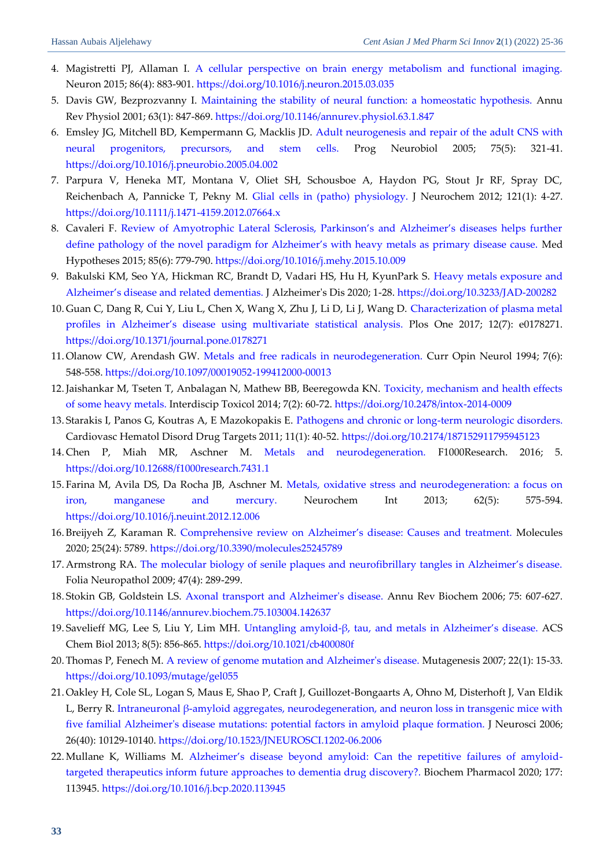- <span id="page-8-0"></span>4. Magistretti PJ, Allaman I. [A cellular perspective on brain energy metabolism and functional imaging.](https://www.cell.com/neuron/pdf/S0896-6273(15)00259-7.pdf) Neuron 2015; 86(4): 883-901. <https://doi.org/10.1016/j.neuron.2015.03.035>
- <span id="page-8-1"></span>5. Davis GW, Bezprozvanny I. [Maintaining the stability of neural function: a homeostatic hypothesis.](https://www.researchgate.net/profile/Ilya-Bezprozvanny/publication/12149003_Maintaining_the_Stability_of_Neural_Function_A_Homeostatic_Hypothesis/links/02e7e522f54ff5a7b4000000/Maintaining-the-Stability-of-Neural-Function-A-Homeostatic-Hypothesis.pdf) Annu Rev Physiol 2001; 63(1): 847-869. <https://doi.org/10.1146/annurev.physiol.63.1.847>
- <span id="page-8-2"></span>6. Emsley JG, Mitchell BD, Kempermann G, Macklis JD. [Adult neurogenesis and repair of the adult CNS with](https://citeseerx.ist.psu.edu/viewdoc/download?doi=10.1.1.458.4543&rep=rep1&type=pdf)  [neural progenitors, precursors, and stem cells.](https://citeseerx.ist.psu.edu/viewdoc/download?doi=10.1.1.458.4543&rep=rep1&type=pdf) Prog Neurobiol 2005; 75(5): 321-41. <https://doi.org/10.1016/j.pneurobio.2005.04.002>
- <span id="page-8-3"></span>7. Parpura V, Heneka MT, Montana V, Oliet SH, Schousboe A, Haydon PG, Stout Jr RF, Spray DC, Reichenbach A, Pannicke T, Pekny M. [Glial cells in \(patho\) physiology.](https://onlinelibrary.wiley.com/doi/pdf/10.1111/j.1471-4159.2012.07664.x) J Neurochem 2012; 121(1): 4-27. <https://doi.org/10.1111/j.1471-4159.2012.07664.x>
- <span id="page-8-4"></span>8. Cavaleri F. [Review of Amyotrophic Lateral Sclerosis, Parkinson's and Alzheimer's diseases helps further](https://people.wou.edu/~taylors/es420_med_geo/med_geo/Cavaleri_2015_ALS_Heavy_Metal_Exposure.pdf)  [define pathology of the novel paradigm for Alzheimer's with heavy metals as primary disease cause.](https://people.wou.edu/~taylors/es420_med_geo/med_geo/Cavaleri_2015_ALS_Heavy_Metal_Exposure.pdf) Med Hypotheses 2015; 85(6): 779-790. <https://doi.org/10.1016/j.mehy.2015.10.009>
- <span id="page-8-5"></span>9. Bakulski KM, Seo YA, Hickman RC, Brandt D, Vadari HS, Hu H, KyunPark S. [Heavy metals exposure and](https://content.iospress.com/articles/journal-of-alzheimers-disease/jad200282)  [Alzheimer's disease and related dementias.](https://content.iospress.com/articles/journal-of-alzheimers-disease/jad200282) J Alzheimer's Dis 2020; 1-28. <https://doi.org/10.3233/JAD-200282>
- <span id="page-8-6"></span>10. Guan C, Dang R, Cui Y, Liu L, Chen X, Wang X, Zhu J, Li D, Li J, Wang D. [Characterization of plasma metal](https://pdfs.semanticscholar.org/7384/5bbb8f5dc84ef898ac5b763fe84af0a8280f.pdf)  [profiles in Alzheimer's disease using mul](https://pdfs.semanticscholar.org/7384/5bbb8f5dc84ef898ac5b763fe84af0a8280f.pdf)tivariate statistical analysis. Plos One 2017; 12(7): e0178271. <https://doi.org/10.1371/journal.pone.0178271>
- <span id="page-8-7"></span>11. Olanow CW, Arendash GW. [Metals and free radicals in neurodegeneration.](https://journals.lww.com/co-neurology/Abstract/1994/12000/Metals_and_free_radicals_in_neurodegeneration.13.aspx) Curr Opin Neurol 1994; 7(6): 548-558.<https://doi.org/10.1097/00019052-199412000-00013>
- <span id="page-8-8"></span>12.Jaishankar M, Tseten T, Anbalagan N, Mathew BB, Beeregowda KN. [Toxicity, mechanism and health effects](https://www.researchgate.net/profile/Abdelkader-Bouaziz/post/What-are-the-health-effects-on-humans-and-animals-for-contamination-with-heavy-metals/attachment/5eb92985c005cf000189aed5/AS%3A889954490130433%401589193093208/download/HeavyMetalsToxicity+2.pdf)  [of some heavy metals.](https://www.researchgate.net/profile/Abdelkader-Bouaziz/post/What-are-the-health-effects-on-humans-and-animals-for-contamination-with-heavy-metals/attachment/5eb92985c005cf000189aed5/AS%3A889954490130433%401589193093208/download/HeavyMetalsToxicity+2.pdf) Interdiscip Toxicol 2014; 7(2): 60-72[. https://doi.org/10.2478/intox-2014-0009](https://doi.org/10.2478/intox-2014-0009)
- <span id="page-8-9"></span>13. Starakis I, Panos G, Koutras A, E Mazokopakis E. [Pathogens and chronic or long-term neurologic disorders.](https://d1wqtxts1xzle7.cloudfront.net/58053720/ARTICLE_52-with-cover-page-v2.pdf?Expires=1643726579&Signature=NnnERT1SBVpKNOJnZQ7mNjDnJogQgcFXnt-WOuhCGkpRkK1h-DsUxEcCDOr~bDKdqA5OeRVD~lngS7yyH6LpBdhtBweMbKQEEPs~lmg9HO7erBIRmC1DaLfBERJC7Wo-cYrsubC9ZncXolpV4LgtdTaXGCV9zp4QaiawtfOJn8L0aCJo5cPoPW2PAb684kBCwJbUlzwia-OJAzxiw-V6ABgm-Yo1OvKMJTiKPFH8aP4AiQdx43LlYhzLBLI68vobBLVbbkcfPJPFs3AQEB3Iw7OKau3J0nut3gbgln~wwK9Z7xNVKYYSXJ0q4p6xLOXm5k7~Yek~lGN2H4N4IYpqxw__&Key-Pair-Id=APKAJLOHF5GGSLRBV4ZA) Cardiovasc Hematol Disord Drug Targets 2011; 11(1): 40-52.<https://doi.org/10.2174/187152911795945123>
- <span id="page-8-10"></span>14. Chen P, Miah MR, Aschner M. [Metals and neurodegeneration.](https://www.researchgate.net/profile/Pan-Chen-6/publication/298805412_Metals_and_Neurodegeneration/links/575ebdeb08aec91374b3fd8b/Metals-and-Neurodegeneration.pdf) F1000Research. 2016; 5. <https://doi.org/10.12688/f1000research.7431.1>
- <span id="page-8-11"></span>15. Farina M, Avila DS, Da Rocha JB, Aschner M. [Metals, oxidative stress and neurodegeneration: a focus on](https://d1wqtxts1xzle7.cloudfront.net/45552404/Metals_Oxidative_Stress_and_Neurodegener20160511-30346-1os9066.pdf?1463004514=&response-content-disposition=inline%3B+filename%3DMetals_oxidative_stress_and_neurodegener.pdf&Expires=1643737448&Signature=FvLAQoawYhDK6oRteHfpOLGSKJrbXq59-ikmB~LanOb-DQWK0esGMK7jSIhp0UlY8C4dNoMYHba3~agBWRORDpRSSyiuhk-rv20J0DFWu0YVzVelHXWqNaoRaZZSl9vuhe6dUWl43XVPJNtGCX0ddE~8Gle3YpzFKZPQhYb4rAf4bDatNHzmgDK3VMg8mJA7h1K08hJEB2qUHRynTYUNkWhluhciS-EVfEZQ-6yPjQMcIxz~LBNVtKBveM-WKYgZCzKiGuvAsBpnDONTyS5pRmojd-eFMcad17HattJ8bD5dlHAyKFnr7hfPW4PxB~ltBa1Q2K2uE2MW72a0LphRCA__&Key-Pair-Id=APKAJLOHF5GGSLRBV4ZA)  [iron, manganese and mercury.](https://d1wqtxts1xzle7.cloudfront.net/45552404/Metals_Oxidative_Stress_and_Neurodegener20160511-30346-1os9066.pdf?1463004514=&response-content-disposition=inline%3B+filename%3DMetals_oxidative_stress_and_neurodegener.pdf&Expires=1643737448&Signature=FvLAQoawYhDK6oRteHfpOLGSKJrbXq59-ikmB~LanOb-DQWK0esGMK7jSIhp0UlY8C4dNoMYHba3~agBWRORDpRSSyiuhk-rv20J0DFWu0YVzVelHXWqNaoRaZZSl9vuhe6dUWl43XVPJNtGCX0ddE~8Gle3YpzFKZPQhYb4rAf4bDatNHzmgDK3VMg8mJA7h1K08hJEB2qUHRynTYUNkWhluhciS-EVfEZQ-6yPjQMcIxz~LBNVtKBveM-WKYgZCzKiGuvAsBpnDONTyS5pRmojd-eFMcad17HattJ8bD5dlHAyKFnr7hfPW4PxB~ltBa1Q2K2uE2MW72a0LphRCA__&Key-Pair-Id=APKAJLOHF5GGSLRBV4ZA) Neurochem Int 2013; 62(5): 575-594. <https://doi.org/10.1016/j.neuint.2012.12.006>
- <span id="page-8-12"></span>16. Breijyeh Z, Karaman R. [Comprehensive review on Alzheimer's diseas](https://www.mdpi.com/1420-3049/25/24/5789/pdf)e: Causes and treatment. Molecules 2020; 25(24): 5789[. https://doi.org/10.3390/molecules25245789](https://doi.org/10.3390/molecules25245789)
- <span id="page-8-13"></span>17. Armstrong RA. [The molecular biology of senile plaques and neurofibrillary tangles in Alzheimer's disease.](https://publications.aston.ac.uk/id/eprint/38593/1/FN_Art_13830_1.pdf) Folia Neuropathol 2009; 47(4): 289-299.
- <span id="page-8-14"></span>18. Stokin GB, Goldstein LS. [Axonal transport and Alzheimer's disease.](https://www.annualreviews.org/doi/pdf/10.1146/annurev.biochem.75.103004.142637) Annu Rev Biochem 2006; 75: 607-627. <https://doi.org/10.1146/annurev.biochem.75.103004.142637>
- <span id="page-8-15"></span>19. Savelieff MG, Lee S, Liu Y, Lim MH. Untangling amyloid-[β, tau, and metals in Alzheimer's dise](https://freepaper.me/d/PDF/bf/bfcb814318c6d91dfdd8ecf7480f4098.pdf?hash=MXetExqVO82OhF547zr3ig&doi=10.1021/cb400080f&title=&save=1%20%20%20%20%20%20%20%20%20%20%20%20%20%20%20%20style=)ase. ACS Chem Biol 2013; 8(5): 856-865.<https://doi.org/10.1021/cb400080f>
- <span id="page-8-16"></span>20. Thomas P, Fenech M. [A review of genome mutation and Alzheimer's disease.](https://www.researchgate.net/profile/Philip-Thomas-17/publication/6640214_A_review_of_genome_mutation_and_Alzheimer) Mutagenesis 2007; 22(1): 15-33. <https://doi.org/10.1093/mutage/gel055>
- <span id="page-8-17"></span>21. Oakley H, Cole SL, Logan S, Maus E, Shao P, Craft J, Guillozet-Bongaarts A, Ohno M, Disterhoft J, Van Eldik L, Berry R. Intraneuronal β[-amyloid aggregates, neurodegeneration, and neuron loss in transgenic mice with](https://www.jneurosci.org/content/jneuro/26/40/10129.full.pdf)  [five familial Alzheimer's disease mutations: potential factors in amyloid plaque formation.](https://www.jneurosci.org/content/jneuro/26/40/10129.full.pdf) J Neurosci 2006; 26(40): 10129-10140.<https://doi.org/10.1523/JNEUROSCI.1202-06.2006>
- <span id="page-8-18"></span>22. Mullane K, Williams M. [Alzheimer's disease beyond amyloid: Can the repetitive failures of amyloid](https://freepaper.me/d/PDF/18/18f140ca581201a1cf5d2222d0836eeb.pdf?hash=NDMc4KumpJVGZNWUueG7sQ&doi=10.1016/j.bcp.2020.113945&title=&save=1%20%20%20%20%20%20%20%20%20%20%20%20%20%20%20%20style=)[targeted therapeutics inform future approaches to dementia drug discovery?.](https://freepaper.me/d/PDF/18/18f140ca581201a1cf5d2222d0836eeb.pdf?hash=NDMc4KumpJVGZNWUueG7sQ&doi=10.1016/j.bcp.2020.113945&title=&save=1%20%20%20%20%20%20%20%20%20%20%20%20%20%20%20%20style=) Biochem Pharmacol 2020; 177: 113945.<https://doi.org/10.1016/j.bcp.2020.113945>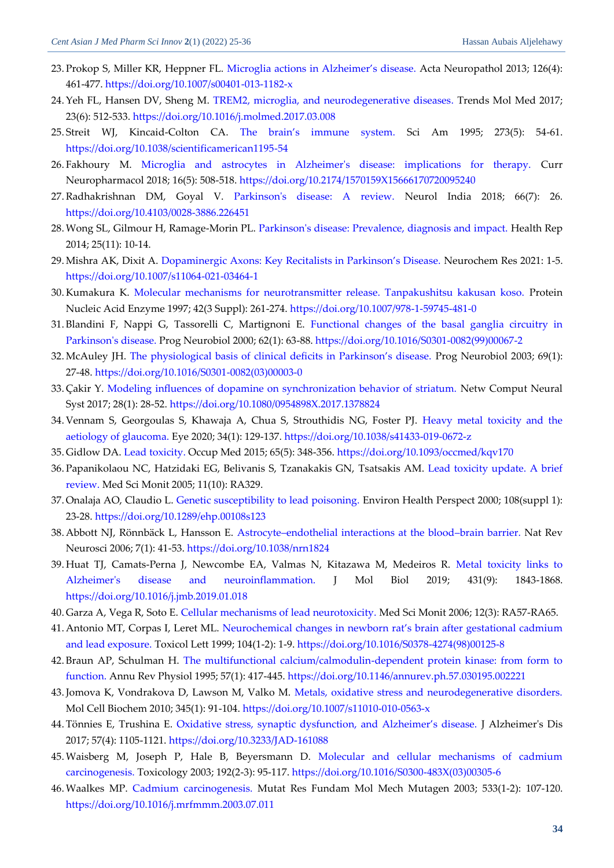- 23. Prokop S, Miller KR, Heppner FL. [Microglia actions in Alzheimer's disease.](https://link.springer.com/content/pdf/10.1007/s00401-013-1182-x.pdf) Acta Neuropathol 2013; 126(4): 461-477.<https://doi.org/10.1007/s00401-013-1182-x>
- <span id="page-9-0"></span>24.Yeh FL, Hansen DV, Sheng M. [TREM2, microglia, and neurodegenerative diseases.](https://freepaper.me/leecher/pdf/10.1016/j.molmed.2017.03.008) Trends Mol Med 2017; 23(6): 512-533.<https://doi.org/10.1016/j.molmed.2017.03.008>
- <span id="page-9-1"></span>25. Streit WJ, Kincaid-Colton CA. [The brain's immune system.](https://www.jstor.org/stable/24982083) Sci Am 1995; 273(5): 54-61. <https://doi.org/10.1038/scientificamerican1195-54>
- <span id="page-9-2"></span>26. Fakhoury M. [Microglia and astrocytes in Alzheimer's disease: implications for therapy.](https://pdfs.semanticscholar.org/486b/0835958fc04a4578bbf7457be1580dbdc9b7.pdf) Curr Neuropharmacol 2018; 16(5): 508-518.<https://doi.org/10.2174/1570159X15666170720095240>
- <span id="page-9-3"></span>27.Radhakrishnan DM, Goyal V. [Parkinson's disease: A review.](https://www.researchgate.net/profile/Divya-Radhakrishnan-5/publication/323583455_Parkinson) Neurol India 2018; 66(7): 26. <https://doi.org/10.4103/0028-3886.226451>
- <span id="page-9-4"></span>28.Wong SL, Gilmour H, Ramage-Morin PL[. Parkinson's disease: Prevalence, diagnosis and impact.](https://www.researchgate.net/profile/Heather-Gilmour-2/publication/268512906_Parkinson) Health Rep 2014; 25(11): 10-14.
- <span id="page-9-5"></span>29. Mishra AK, Dixit A. [Dopaminergic Axons: Key Recitalists in Parkinson's Disease.](https://link.springer.com/article/10.1007/s11064-021-03464-1#citeas) Neurochem Res 2021: 1-5. <https://doi.org/10.1007/s11064-021-03464-1>
- <span id="page-9-6"></span>30. Kumakura K. [Molecular mechanisms for neurotransmitter release. Tanpakushitsu kakusan koso.](https://link.springer.com/book/10.1007%2F978-1-59745-481-0) Protein Nucleic Acid Enzyme 1997; 42(3 Suppl): 261-274.<https://doi.org/10.1007/978-1-59745-481-0>
- <span id="page-9-7"></span>31. Blandini F, Nappi G, Tassorelli C, Martignoni E. [Functional changes of the basal ganglia circuitry in](https://freepaper.me/d/PDF/0d/0db8d9631c59e5d6faf56f16a6d5b924.pdf?hash=g7mZ1_Pt-wVsyJQyhlEXyQ&doi=10.1016/S0301-0082(99)00067-2&title=&save=1%20%20%20%20%20%20%20%20%20%20%20%20%20%20%20%20style=)  [Parkinson's disease.](https://freepaper.me/d/PDF/0d/0db8d9631c59e5d6faf56f16a6d5b924.pdf?hash=g7mZ1_Pt-wVsyJQyhlEXyQ&doi=10.1016/S0301-0082(99)00067-2&title=&save=1%20%20%20%20%20%20%20%20%20%20%20%20%20%20%20%20style=) Prog Neurobiol 2000; 62(1): 63-88. [https://doi.org/10.1016/S0301-0082\(99\)00067-2](https://doi.org/10.1016/S0301-0082(99)00067-2)
- <span id="page-9-8"></span>32. McAuley JH. [The physiological basis of clinical deficits in Parkinson's disease.](https://freepaper.me/d/PDF/45/45f7618e152e81788ed8ef3a6261d919.pdf?hash=BxG3yi08XfwILbNMPSrQYQ&doi=10.1016/S0301-0082(03)00003-0&title=&save=1%20%20%20%20%20%20%20%20%20%20%20%20%20%20%20%20style=) Prog Neurobiol 2003; 69(1): 27-48. [https://doi.org/10.1016/S0301-0082\(03\)00003-0](https://doi.org/10.1016/S0301-0082(03)00003-0)
- <span id="page-9-9"></span>33. Çakir Y. [Modeling influences of dopamine on synchronization behavior of striatum.](https://www.researchgate.net/profile/Y-Cakir/publication/320259050_Modeling_influences_of_dopamine_on_synchronization_behavior_of_striatum/links/59db4afd458515a516addb4c/Modeling-influences-of-dopamine-on-synchronization-behavior-of-striatum.pdf) Netw Comput Neural Syst 2017; 28(1): 28-52[. https://doi.org/10.1080/0954898X.2017.1378824](https://doi.org/10.1080/0954898X.2017.1378824)
- <span id="page-9-10"></span>34. Vennam S, Georgoulas S, Khawaja A, Chua S, Strouthidis NG, Foster PJ. [Heavy metal toxicity and the](https://www.nature.com/articles/s41433-019-0672-z.pdf)  [aetiology of glaucoma.](https://www.nature.com/articles/s41433-019-0672-z.pdf) Eye 2020; 34(1): 129-137[. https://doi.org/10.1038/s41433-019-0672-z](http://doi.org/10.1038/s41433-019-0672-z)
- <span id="page-9-11"></span>35. Gidlow DA. [Lead toxicity.](https://watermark.silverchair.com/kqv018.pdf?token=AQECAHi208BE49Ooan9kkhW_Ercy7Dm3ZL_9Cf3qfKAc485ysgAAAsgwggLEBgkqhkiG9w0BBwagggK1MIICsQIBADCCAqoGCSqGSIb3DQEHATAeBglghkgBZQMEAS4wEQQMtFrzQX-KJaP4kGagAgEQgIICeyReUMdrst0_XRPDiYZH-xBF37ERmevmHG9F_bvwrwycmwW1ea_c6xEMwbQgZf-fyipZqivwF8ysWNTdI2c6QMdOj60yfhPJe6KFkbbiJrvKv2PHZ0jzuAaKBmrbrwJOkphW_q-UkrlJQjkl4G7mHs3357XdrA_cI17xMVTlpzRjraolGEtxduFfqcSy8wvgr5HA8DNFr5yXZs-C83whgFVAhHTgPETjEcORMkEv9hVdSPchDffsfskIv1yQcdNfckXSx1usqGjxjF6OyZljhXgf29TkclqivgICZGq5oyvb605b2P8aHtoZ_-fNp28_A_VUfXNguZrbW_JIbXv_z--AOirEdm5eb1jLDo3-_VyGKOE_I5VKWYzMw_tvy0lLR3NM6B2FESpd-ICU-7Wph2tjY3KoX0kxTibBqDPUMfKZctP7AoC8oVWlXWx3kEau7ANYcoKMtStsr4ayWcT1KsAn67L9C6jUynR8_5nPfB_mprYc-jTf8qdj_6_EbTmE0CNyQCivkBBSj-rgIgt2-OtHDGYq30Ul8A4wj-NRPJp7O4EgVh6zkTCaYwXyMAMr02ILAt-cMdhSaWKPDNZvw6gDsReEkJH5Etac6VxkStG056gEVyHA-y_rWnN599vFa_Nv6n20tvon5CRDxFSQnz1BdkKfBvM21cXNT-LAlAAPtwOFNG5iV1590oX6WU7oMgq94FyE1btmIpoLQTzlf0-Dra-6CUFDSMg_HidmxBIvnlg7PqVnmKTci5-oXwVggPl0QruLmyJmFeSikokmH8LTUrT3X7BKocp1VVAyQbV42yR93JOSEeDEl7gc2iIL68DhENppF4vPdYqF) Occup Med 2015; 65(5): 348-356.<https://doi.org/10.1093/occmed/kqv170>
- <span id="page-9-12"></span>36. Papanikolaou NC, Hatzidaki EG, Belivanis S, Tzanakakis GN, Tsatsakis AM. [Lead toxicity update. A brief](https://www.researchgate.net/profile/Aristidis-Tsatsakis/publication/7571843_Lead_toxicity_update_A_brief_Review/links/0912f50dd920823e05000000/Lead-toxicity-update-A-brief-Review.pdf)  [review.](https://www.researchgate.net/profile/Aristidis-Tsatsakis/publication/7571843_Lead_toxicity_update_A_brief_Review/links/0912f50dd920823e05000000/Lead-toxicity-update-A-brief-Review.pdf) Med Sci Monit 2005; 11(10): RA329.
- <span id="page-9-13"></span>37. Onalaja AO, Claudio L. [Genetic susceptibility to lead poisoning.](https://core.ac.uk/download/pdf/4110168.pdf) Environ Health Perspect 2000; 108(suppl 1): 23-28.<https://doi.org/10.1289/ehp.00108s123>
- <span id="page-9-14"></span>38. Abbott NJ, Rönnbäck L, Hansson E. Astrocyte–[endothelial interactions at the blood](https://d1wqtxts1xzle7.cloudfront.net/74123548/nrn182420211103-10492-1vy9fv9-with-cover-page-v2.pdf?Expires=1643782460&Signature=IPqHO7U96DFz77jPhegTgOJkQbR5isDUhn-XvwPz2KPE4yjmpQ753287BqOIdkfmxx-ywd4ZElXYNqiB3t5pe~9kyPiN7MX7e8atA0ZmepPS870T8ppnYeQJx2kh3jtXujqG0FsE3uLvfWoldKjeDRe4TkfV1HQY2frUUINMMfolj4m9stTTODZ-oPgotcnbjWSjKo2GP2t8arEaL6AWHUM0lgJbGH7fvFSyCVfEycKylJixcgjGrkEpdRcPXB0sk0Tg2nYgQoZ1-bNr4OaEkzqM2HjNZqcuR6zKCF6xEiRsMOvP8gvld9tGR0yIhZY8SQASHnkhMQFBaYrdXe0sqA__&Key-Pair-Id=APKAJLOHF5GGSLRBV4ZA)–brain barrier. Nat Rev Neurosci 2006; 7(1): 41-53[. https://doi.org/10.1038/nrn1824](https://doi.org/10.1038/nrn1824)
- <span id="page-9-15"></span>39. Huat TJ, Camats-Perna J, Newcombe EA, Valmas N, Kitazawa M, Medeiros R. [Metal toxicity links to](https://core.ac.uk/download/pdf/189935309.pdf)  [Alzheimer's disease and neuroinflammation.](https://core.ac.uk/download/pdf/189935309.pdf) J Mol Biol 2019; 431(9): 1843-1868. <https://doi.org/10.1016/j.jmb.2019.01.018>
- <span id="page-9-16"></span>40. Garza A, Vega R, Soto E. [Cellular mechanisms of lead neurotoxicity.](https://www.researchgate.net/profile/Enrique-Soto-9/publication/299261706_Cellular_mechanisms_of_lead_neurotoxicity/links/5ce16288458515712eb60f3d/Cellular-mechanisms-of-lead-neurotoxicity.pdf) Med Sci Monit 2006; 12(3): RA57-RA65.
- <span id="page-9-17"></span>41. Antonio MT, Corpas I, Leret ML. Neurochemical changes in newbor[n rat's brain after gestational cadmium](https://freepaper.me/d/PDF/80/80dfb995201f0e48d0255b8d18eb6c62.pdf?hash=2pYwDdMhtoX0YOo6vOD4iw&doi=10.1016/S0378-4274(98)00125-8&title=&save=1%20%20%20%20%20%20%20%20%20%20%20%20%20%20%20%20style=)  [and lead exposure.](https://freepaper.me/d/PDF/80/80dfb995201f0e48d0255b8d18eb6c62.pdf?hash=2pYwDdMhtoX0YOo6vOD4iw&doi=10.1016/S0378-4274(98)00125-8&title=&save=1%20%20%20%20%20%20%20%20%20%20%20%20%20%20%20%20style=) Toxicol Lett 1999; 104(1-2): 1-9. [https://doi.org/10.1016/S0378-4274\(98\)00125-8](https://doi.org/10.1016/S0378-4274(98)00125-8)
- <span id="page-9-18"></span>42. Braun AP, Schulman H. [The multifunctional calcium/calmodulin-dependent protein kinase: from form to](https://www.annualreviews.org/doi/pdf/10.1146/annurev.ph.57.030195.002221)  [function.](https://www.annualreviews.org/doi/pdf/10.1146/annurev.ph.57.030195.002221) Annu Rev Physiol 1995; 57(1): 417-445.<https://doi.org/10.1146/annurev.ph.57.030195.002221>
- <span id="page-9-19"></span>43. Jomova K, Vondrakova D, Lawson M, Valko M. [Metals, oxidative stress and neurodegenerative disorders.](https://kis.ukf.sk/epcfiles/43FEF4F48EE64A6B9BC6A660071D570A/MolCellBiochem_2010.pdf) Mol Cell Biochem 2010; 345(1): 91-104.<https://doi.org/10.1007/s11010-010-0563-x>
- <span id="page-9-20"></span>44. Tönnies E, Trushina E. [Oxidative stress, synaptic dysfunction, and Alzheimer's disease.](https://d1wqtxts1xzle7.cloudfront.net/51606941/JAD161088.pdf?1486075486=&response-content-disposition=inline%3B+filename%3DJAD161088_pdf.pdf&Expires=1643785007&Signature=ekTVUH3-ZKVde6kMXlQ7D~ky7J5nkty8T7~-hLKSulqG98trak8e987XuZEUZpL35Rn-nz3Dv4bNwxgxN9TNHikQraDOxRtwbV89v8zs7s7QZkACBuQyhNtRDjkptbeDLpxWoArIWDu58Zc26Yy~CTIcANMvF4uSemAQbgBfhukkM1osMKu48kFEEkdaxmtaZxlor~PI2LRShCzOm986QUdYQd35AfDQKB9sXFoXBUnnScYtlm15~HEMzI7C1TbltSd0FEJ0LY5~pvlEmLpxUrg7HJpt6nCo0AKHbeYN0K3cbvVuU689e9AMJQXUAUBapJD6h1fcRNzSjSNSgTOY8g__&Key-Pair-Id=APKAJLOHF5GGSLRBV4ZA) J Alzheimer's Dis 2017; 57(4): 1105-1121.<https://doi.org/10.3233/JAD-161088>
- <span id="page-9-21"></span>45.Waisberg M, Joseph P, Hale B, Beyersmann D. [Molecular and cellular mechanisms of cadmium](https://freepaper.me/leecher/pdf/10.1016/S0300-483X(03)00305-6)  [carcinogenesis.](https://freepaper.me/leecher/pdf/10.1016/S0300-483X(03)00305-6) Toxicology 2003; 192(2-3): 95-117. [https://doi.org/10.1016/S0300-483X\(03\)00305-6](https://doi.org/10.1016/S0300-483X(03)00305-6)
- <span id="page-9-22"></span>46.Waalkes MP. [Cadmium carcinogenesis.](https://zenodo.org/record/1259227/files/article.pdf) Mutat Res Fundam Mol Mech Mutagen 2003; 533(1-2): 107-120. <https://doi.org/10.1016/j.mrfmmm.2003.07.011>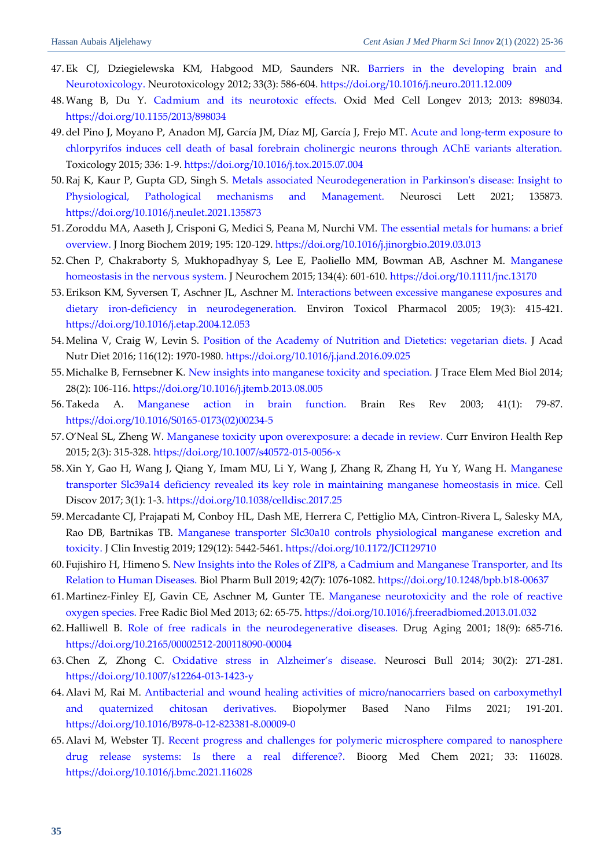- <span id="page-10-0"></span>47. Ek CJ, Dziegielewska KM, Habgood MD, Saunders NR. [Barriers in the developing brain and](https://courseplus.jhu.edu/filedepot/onlinelibrary/953/bbbreview.pdf)  [Neurotoxicology.](https://courseplus.jhu.edu/filedepot/onlinelibrary/953/bbbreview.pdf) Neurotoxicology 2012; 33(3): 586-604.<https://doi.org/10.1016/j.neuro.2011.12.009>
- <span id="page-10-1"></span>48.Wang B, Du Y. [Cadmium and its neurotoxic effects.](file:///D:/اطلاعات%20دکتر%20عبادی/Dr-Ebadi/Site%20Information/مقالات%20سایت%20cas-press/Medicine/New%20Paper/CAJMPSI-2201-1040--Qassim%20Hassan%20Aubais%20Aljelehawy/citeseerx.ist.psu.edu/viewdoc/download%3fdoi=10.1.1.805.9160&rep=rep1&type=pdf) Oxid Med Cell Longev 2013; 2013: 898034. <https://doi.org/10.1155/2013/898034>
- <span id="page-10-2"></span>49. del Pino J, Moyano P, Anadon MJ, García JM, Díaz MJ, García J, Frejo MT. [Acute and long-term exposure to](https://freepaper.me/d/PDF/d0/d0825d01f88c62aafd2c090a7053806e.pdf?hash=JsbPQKVkey3fpNUUt2XHVw&doi=10.1016/j.tox.2015.07.004&title=&save=1%20%20%20%20%20%20%20%20%20%20%20%20%20%20%20%20style=)  [chlorpyrifos induces cell death of basal forebrain cholinergic neurons through AChE variants alteration.](https://freepaper.me/d/PDF/d0/d0825d01f88c62aafd2c090a7053806e.pdf?hash=JsbPQKVkey3fpNUUt2XHVw&doi=10.1016/j.tox.2015.07.004&title=&save=1%20%20%20%20%20%20%20%20%20%20%20%20%20%20%20%20style=) Toxicology 2015; 336: 1-9[. https://doi.org/10.1016/j.tox.2015.07.004](https://doi.org/10.1016/j.tox.2015.07.004)
- <span id="page-10-3"></span>50.Raj K, Kaur P, Gupta GD, Singh S. [Metals associated Neurodegeneration in Parkinson's disease: Insight to](https://freepaper.me/d/PDF/e4/e421aa79ba6b9df4c11ddff586bebd26.pdf?hash=kjEG9xHdUsxAJVoetZUrvQ&doi=10.1016/j.neulet.2021.135873&title=&save=1%20%20%20%20%20%20%20%20%20%20%20%20%20%20%20%20style=)  [Physiological, Pathological mechanisms and Management.](https://freepaper.me/d/PDF/e4/e421aa79ba6b9df4c11ddff586bebd26.pdf?hash=kjEG9xHdUsxAJVoetZUrvQ&doi=10.1016/j.neulet.2021.135873&title=&save=1%20%20%20%20%20%20%20%20%20%20%20%20%20%20%20%20style=) Neurosci Lett 2021; 135873. <https://doi.org/10.1016/j.neulet.2021.135873>
- <span id="page-10-4"></span>51.Zoroddu MA, Aaseth J, Crisponi G, Medici S, Peana M, Nurchi VM. [The essential metals for humans: a brief](https://d1wqtxts1xzle7.cloudfront.net/60567680/11_-_2019_JIB__1-s2.0-S0162013418306846-main20190912-90093-17neba3-with-cover-page-v2.pdf?Expires=1643786198&Signature=gBRGZNaYkkZ0rBuTPLxRYTuzZAci6pj-XXBx4B97-mWSdroCHlyftUu6ivE5GACekNPrR65KstjDsne8bqvZgSZcx8N82L-S8NcRmQYxYvuW0SlZsCeAfAEe35ykXocFfCVl4CR62TYLBpw-DPStSdeqeT6akSdVupH5Y7fp-7RLnvIkFh-7K~wXMMC-oIWTBxfXyLFDJccrwmM1zEhJvGVn6Z25C3H3u0EkuMIfdZoSB5hjrZBpr-3HBqUle5tVTokXOfC1RnOICB0ULLGt3jOFJdVoxyl78-NxDATSYaorUoe0w7I65Bq8TBZvStQFCN5jrMu~1qWonIQyqImtDw__&Key-Pair-Id=APKAJLOHF5GGSLRBV4ZA) [overview.](https://d1wqtxts1xzle7.cloudfront.net/60567680/11_-_2019_JIB__1-s2.0-S0162013418306846-main20190912-90093-17neba3-with-cover-page-v2.pdf?Expires=1643786198&Signature=gBRGZNaYkkZ0rBuTPLxRYTuzZAci6pj-XXBx4B97-mWSdroCHlyftUu6ivE5GACekNPrR65KstjDsne8bqvZgSZcx8N82L-S8NcRmQYxYvuW0SlZsCeAfAEe35ykXocFfCVl4CR62TYLBpw-DPStSdeqeT6akSdVupH5Y7fp-7RLnvIkFh-7K~wXMMC-oIWTBxfXyLFDJccrwmM1zEhJvGVn6Z25C3H3u0EkuMIfdZoSB5hjrZBpr-3HBqUle5tVTokXOfC1RnOICB0ULLGt3jOFJdVoxyl78-NxDATSYaorUoe0w7I65Bq8TBZvStQFCN5jrMu~1qWonIQyqImtDw__&Key-Pair-Id=APKAJLOHF5GGSLRBV4ZA) J Inorg Biochem 2019; 195: 120-129.<https://doi.org/10.1016/j.jinorgbio.2019.03.013>
- <span id="page-10-5"></span>52. Chen P, Chakraborty S, Mukhopadhyay S, Lee E, Paoliello MM, Bowman AB, Aschner M. [Manganese](https://onlinelibrary.wiley.com/doi/pdfdirect/10.1111/jnc.13170)  [homeostasis in the nervous system.](https://onlinelibrary.wiley.com/doi/pdfdirect/10.1111/jnc.13170) J Neurochem 2015; 134(4): 601-610.<https://doi.org/10.1111/jnc.13170>
- 53. Erikson KM, Syversen T, Aschner JL, Aschner M. [Interactions between excessive manganese exposures and](https://d1wqtxts1xzle7.cloudfront.net/43159691/Interactions_between_excessive_manganese20160228-15864-7281cl-with-cover-page-v2.pdf?Expires=1643786504&Signature=D03WikEFAhLBwKSn7kwarpVUXJTAusfP9Yq1jB~w1zqkbi8bCFGfWfrj2ESea64nIInDzgOgxpz04PLqSOiWrimO~b9lFaguTiNGWIGCJVnutxl-ITlmqUbB1TWIXfph5RduzMx5cCnP68iTuhozvCSLzk-q0yG9kIOdeHchvd-~vCte10MPZtbMr~B8Tj4Nd-6~YY97Zz3r3owPQNTRlSLb1zTtWNgUVCUGa~2z8vf05JV5xbCxijlWHF71cmpfl6PkY3iXjwtE3qTloivDDNL5inWU8J~nNI~XoCd-6vgR~JMCTjzxjGnqXOL12xKlqaHo6lclCsIzDYyAjbydvg__&Key-Pair-Id=APKAJLOHF5GGSLRBV4ZA)  [dietary iron-deficiency in neurodegeneration.](https://d1wqtxts1xzle7.cloudfront.net/43159691/Interactions_between_excessive_manganese20160228-15864-7281cl-with-cover-page-v2.pdf?Expires=1643786504&Signature=D03WikEFAhLBwKSn7kwarpVUXJTAusfP9Yq1jB~w1zqkbi8bCFGfWfrj2ESea64nIInDzgOgxpz04PLqSOiWrimO~b9lFaguTiNGWIGCJVnutxl-ITlmqUbB1TWIXfph5RduzMx5cCnP68iTuhozvCSLzk-q0yG9kIOdeHchvd-~vCte10MPZtbMr~B8Tj4Nd-6~YY97Zz3r3owPQNTRlSLb1zTtWNgUVCUGa~2z8vf05JV5xbCxijlWHF71cmpfl6PkY3iXjwtE3qTloivDDNL5inWU8J~nNI~XoCd-6vgR~JMCTjzxjGnqXOL12xKlqaHo6lclCsIzDYyAjbydvg__&Key-Pair-Id=APKAJLOHF5GGSLRBV4ZA) Environ Toxicol Pharmacol 2005; 19(3): 415-421. <https://doi.org/10.1016/j.etap.2004.12.053>
- <span id="page-10-6"></span>54. Melina V, Craig W, Levin S. [Position of the Academy of Nutrition and Dietetics: vegetarian diets.](https://www.eatrightpro.org/~/media/eatrightpro%20files/practice/position%20and%20practice%20papers/position%20papers/vegetarian-diet.ashx) J Acad Nutr Diet 2016; 116(12): 1970-1980.<https://doi.org/10.1016/j.jand.2016.09.025>
- <span id="page-10-7"></span>55. Michalke B, Fernsebner K. [New insights into manganese toxicity and speciation.](https://freepaper.me/leecher/pdf/10.1016/j.jtemb.2013.08.005) J Trace Elem Med Biol 2014; 28(2): 106-116.<https://doi.org/10.1016/j.jtemb.2013.08.005>
- <span id="page-10-8"></span>56. Takeda A. [Manganese action in brain function.](https://freepaper.me/leecher/pdf/10.1016/S0165-0173(02)00234-5) Brain Res Rev 2003; 41(1): 79-87. [https://doi.org/10.1016/S0165-0173\(02\)00234-5](https://doi.org/10.1016/S0165-0173(02)00234-5)
- <span id="page-10-9"></span>57. O'Neal SL, Zheng W. [Manganese toxicity upon overexposure: a decade in review.](https://www.researchgate.net/profile/Stefanie-Oneal/publication/280498304_Manganese_Toxicity_Upon_Overexposure_A_Decade_in_Review/links/55ddf8ae08aeaa26af0f1fa4/Manganese-Toxicity-Upon-Overexposure-A-Decade-in-Review.pdf) Curr Environ Health Rep 2015; 2(3): 315-328.<https://doi.org/10.1007/s40572-015-0056-x>
- <span id="page-10-10"></span>58.Xin Y, Gao H, Wang J, Qiang Y, Imam MU, Li Y, Wang J, Zhang R, Zhang H, Yu Y, Wang H. [Manganese](https://www.researchgate.net/profile/Fudi-Wang/publication/318577799_Manganese_transporter_Slc39a14_deficiency_revealed_its_key_role_in_maintaining_manganese_homeostasis_in_mice/links/59716c230f7e9b25e8606591/Manganese-transporter-Slc39a14-deficiency-revealed-its-key-role-in-maintaining-manganese-homeostasis-in-mice.pdf)  [transporter Slc39a14 deficiency revealed its key role in maintaining manganese homeostasis in mice.](https://www.researchgate.net/profile/Fudi-Wang/publication/318577799_Manganese_transporter_Slc39a14_deficiency_revealed_its_key_role_in_maintaining_manganese_homeostasis_in_mice/links/59716c230f7e9b25e8606591/Manganese-transporter-Slc39a14-deficiency-revealed-its-key-role-in-maintaining-manganese-homeostasis-in-mice.pdf) Cell Discov 2017; 3(1): 1-3.<https://doi.org/10.1038/celldisc.2017.25>
- <span id="page-10-11"></span>59. Mercadante CJ, Prajapati M, Conboy HL, Dash ME, Herrera C, Pettiglio MA, Cintron-Rivera L, Salesky MA, Rao DB, Bartnikas TB. [Manganese transporter Slc30a10 controls physiological manganese excretion and](https://dm5migu4zj3pb.cloudfront.net/manuscripts/129000/129710/JCI129710.v3.pdf)  [toxicity.](https://dm5migu4zj3pb.cloudfront.net/manuscripts/129000/129710/JCI129710.v3.pdf) J Clin Investig 2019; 129(12): 5442-5461.<https://doi.org/10.1172/JCI129710>
- 60. Fujishiro H, Himeno S. [New Insights into the Roles of ZIP8, a Cadmium and Manganese Transporter, and Its](https://www.jstage.jst.go.jp/article/bpb/42/7/42_b18-00637/_pdf)  [Relation to Human Diseases.](https://www.jstage.jst.go.jp/article/bpb/42/7/42_b18-00637/_pdf) Biol Pharm Bull 2019; 42(7): 1076-1082.<https://doi.org/10.1248/bpb.b18-00637>
- <span id="page-10-12"></span>61. Martinez-Finley EJ, Gavin CE, Aschner M, Gunter TE. [Manganese neurotoxicity and the role of reactive](https://www.researchgate.net/profile/Thomas-Gunter/publication/235441239_Manganese_Neurotoxicity_and_the_Role_of_Reactive_Oxygen_Species/links/5f2b1f00a6fdcccc43ac6e08/Manganese-Neurotoxicity-and-the-Role-of-Reactive-Oxygen-Species.pdf)  [oxygen species.](https://www.researchgate.net/profile/Thomas-Gunter/publication/235441239_Manganese_Neurotoxicity_and_the_Role_of_Reactive_Oxygen_Species/links/5f2b1f00a6fdcccc43ac6e08/Manganese-Neurotoxicity-and-the-Role-of-Reactive-Oxygen-Species.pdf) Free Radic Biol Med 2013; 62: 65-75[. https://doi.org/10.1016/j.freeradbiomed.2013.01.032](https://doi.org/10.1016/j.freeradbiomed.2013.01.032)
- <span id="page-10-13"></span>62. Halliwell B. [Role of free radicals in the neurodegenerative diseases.](https://freepaper.me/d/PDF/0a/0ae6e4704c99a9684cef08a13e7e785d.pdf?hash=XK4uFtH3-pMg2egzPrDmPA&doi=10.2165/00002512-200118090-00004&title=&save=1%20%20%20%20%20%20%20%20%20%20%20%20%20%20%20%20style=) Drug Aging 2001; 18(9): 685-716. <https://doi.org/10.2165/00002512-200118090-00004>
- 63. Chen Z, Zhong C. [Oxidative stress in Alzheimer's disease.](https://link.springer.com/content/pdf/10.1007/s12264-013-1423-y.pdf) Neurosci Bull 2014; 30(2): 271-281. <https://doi.org/10.1007/s12264-013-1423-y>
- <span id="page-10-14"></span>64. Alavi M, Rai M. [Antibacterial and wound healing activities of micro/nanocarriers based on carboxymethyl](https://www.sciencedirect.com/science/article/pii/B9780128233818000090)  [and quaternized chitosan derivatives.](https://www.sciencedirect.com/science/article/pii/B9780128233818000090) Biopolymer Based Nano Films 2021; 191-201. <https://doi.org/10.1016/B978-0-12-823381-8.00009-0>
- <span id="page-10-15"></span>65. Alavi M, Webster TJ. [Recent progress and challenges for polymeric microsphere compared to nanosphere](https://freepaper.me/d/PDF/db/dbff966c00059932e2a5231a9d248697.pdf?hash=uo5F_HP_aWC6ixHNIRRLqA&doi=10.1016/j.bmc.2021.116028&title=&save=1%20%20%20%20%20%20%20%20%20%20%20%20%20%20%20%20style=)  [drug release systems: Is there a real difference?.](https://freepaper.me/d/PDF/db/dbff966c00059932e2a5231a9d248697.pdf?hash=uo5F_HP_aWC6ixHNIRRLqA&doi=10.1016/j.bmc.2021.116028&title=&save=1%20%20%20%20%20%20%20%20%20%20%20%20%20%20%20%20style=) Bioorg Med Chem 2021; 33: 116028. <https://doi.org/10.1016/j.bmc.2021.116028>